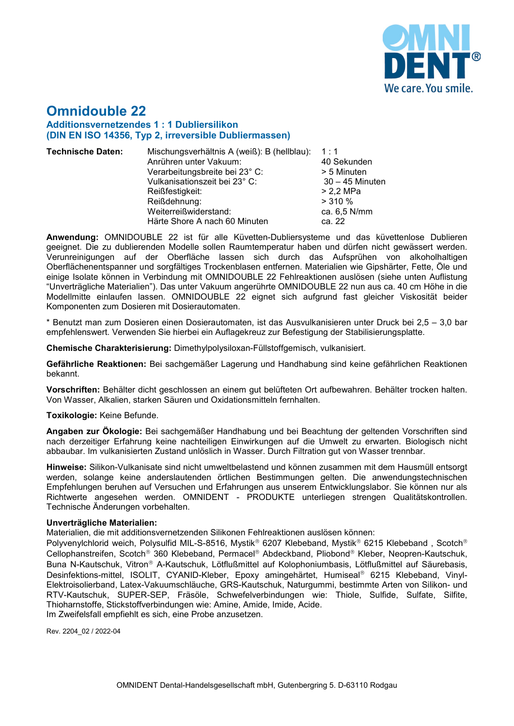

# **Omnidouble 22 Additionsvernetzendes 1 : 1 Dubliersilikon (DIN EN ISO 14356, Typ 2, irreversible Dubliermassen)**

- **Technische Daten:** Mischungsverhältnis A (weiß): B (hellblau): 1 : 1 Anrühren unter Vakuum: 40 Sekunden Verarbeitungsbreite bei 23° C: > 5 Minuten Vulkanisationszeit bei 23° C: 30 – 45 Minuten Reißfestigkeit: > 2,2 MPa Reißdehnung: > 310 % Weiterreißwiderstand: ca. 6,5<br>
Härte Shore A nach 60 Minuten ca. 22 Härte Shore A nach 60 Minuten
	-

**Anwendung:** OMNIDOUBLE 22 ist für alle Küvetten-Dubliersysteme und das küvettenlose Dublieren geeignet. Die zu dublierenden Modelle sollen Raumtemperatur haben und dürfen nicht gewässert werden. Verunreinigungen auf der Oberfläche lassen sich durch das Aufsprühen von alkoholhaltigen Oberflächenentspanner und sorgfältiges Trockenblasen entfernen. Materialien wie Gipshärter, Fette, Öle und einige Isolate können in Verbindung mit OMNIDOUBLE 22 Fehlreaktionen auslösen (siehe unten Auflistung "Unverträgliche Materialien"). Das unter Vakuum angerührte OMNIDOUBLE 22 nun aus ca. 40 cm Höhe in die Modellmitte einlaufen lassen. OMNIDOUBLE 22 eignet sich aufgrund fast gleicher Viskosität beider Komponenten zum Dosieren mit Dosierautomaten.

\* Benutzt man zum Dosieren einen Dosierautomaten, ist das Ausvulkanisieren unter Druck bei 2,5 – 3,0 bar empfehlenswert. Verwenden Sie hierbei ein Auflagekreuz zur Befestigung der Stabilisierungsplatte.

**Chemische Charakterisierung:** Dimethylpolysiloxan-Füllstoffgemisch, vulkanisiert.

**Gefährliche Reaktionen:** Bei sachgemäßer Lagerung und Handhabung sind keine gefährlichen Reaktionen bekannt.

**Vorschriften:** Behälter dicht geschlossen an einem gut belüfteten Ort aufbewahren. Behälter trocken halten. Von Wasser, Alkalien, starken Säuren und Oxidationsmitteln fernhalten.

### **Toxikologie:** Keine Befunde.

**Angaben zur Ökologie:** Bei sachgemäßer Handhabung und bei Beachtung der geltenden Vorschriften sind nach derzeitiger Erfahrung keine nachteiligen Einwirkungen auf die Umwelt zu erwarten. Biologisch nicht abbaubar. Im vulkanisierten Zustand unlöslich in Wasser. Durch Filtration gut von Wasser trennbar.

**Hinweise:** Silikon-Vulkanisate sind nicht umweltbelastend und können zusammen mit dem Hausmüll entsorgt werden, solange keine anderslautenden örtlichen Bestimmungen gelten. Die anwendungstechnischen Empfehlungen beruhen auf Versuchen und Erfahrungen aus unserem Entwicklungslabor. Sie können nur als Richtwerte angesehen werden. OMNIDENT - PRODUKTE unterliegen strengen Qualitätskontrollen. Technische Änderungen vorbehalten.

### **Unverträgliche Materialien:**

Materialien, die mit additionsvernetzenden Silikonen Fehlreaktionen auslösen können:

Polyvenylchlorid weich, Polysulfid MIL-S-8516, Mystik® 6207 Klebeband, Mystik® 6215 Klebeband, Scotch® Cellophanstreifen, Scotch<sup>®</sup> 360 Klebeband, Permacel® Abdeckband, Pliobond® Kleber, Neopren-Kautschuk, Buna N-Kautschuk, Vitron® A-Kautschuk, Lötflußmittel auf Kolophoniumbasis, Lötflußmittel auf Säurebasis, Desinfektions-mittel, ISOLIT, CYANID-Kleber, Epoxy amingehärtet, Humiseal® 6215 Klebeband, Vinyl-Elektroisolierband, Latex-Vakuumschläuche, GRS-Kautschuk, Naturgummi, bestimmte Arten von Silikon- und RTV-Kautschuk, SUPER-SEP, Fräsöle, Schwefelverbindungen wie: Thiole, Sulfide, Sulfate, Silfite, Thioharnstoffe, Stickstoffverbindungen wie: Amine, Amide, Imide, Acide.

Im Zweifelsfall empfiehlt es sich, eine Probe anzusetzen.

Rev. 2204\_02 / 2022-04